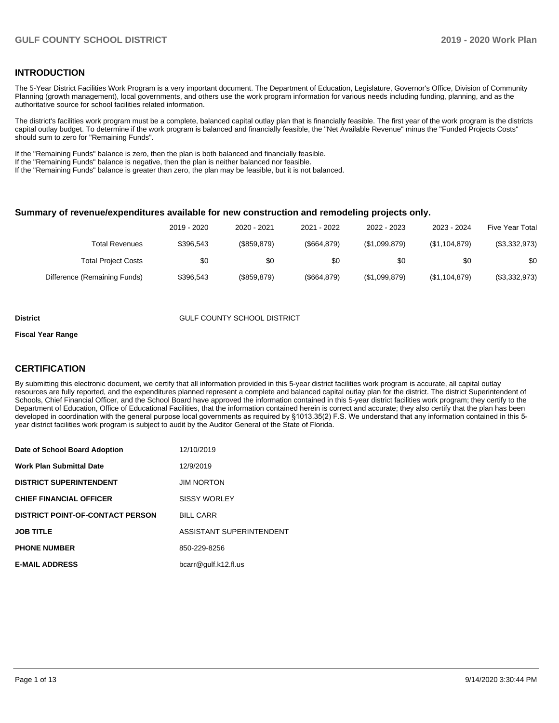#### **INTRODUCTION**

The 5-Year District Facilities Work Program is a very important document. The Department of Education, Legislature, Governor's Office, Division of Community Planning (growth management), local governments, and others use the work program information for various needs including funding, planning, and as the authoritative source for school facilities related information.

The district's facilities work program must be a complete, balanced capital outlay plan that is financially feasible. The first year of the work program is the districts capital outlay budget. To determine if the work program is balanced and financially feasible, the "Net Available Revenue" minus the "Funded Projects Costs" should sum to zero for "Remaining Funds".

If the "Remaining Funds" balance is zero, then the plan is both balanced and financially feasible.

If the "Remaining Funds" balance is negative, then the plan is neither balanced nor feasible.

If the "Remaining Funds" balance is greater than zero, the plan may be feasible, but it is not balanced.

#### **Summary of revenue/expenditures available for new construction and remodeling projects only.**

| <b>Five Year Total</b> | 2023 - 2024   | 2022 - 2023   | 2021 - 2022 | 2020 - 2021 | 2019 - 2020 |                              |
|------------------------|---------------|---------------|-------------|-------------|-------------|------------------------------|
| (\$3,332,973)          | (\$1,104,879) | (\$1,099,879) | (\$664.879) | (\$859.879) | \$396.543   | <b>Total Revenues</b>        |
| \$0                    | \$0           | \$0           | \$0         | \$0         | \$0         | <b>Total Project Costs</b>   |
| (\$3,332,973)          | (\$1,104,879) | (\$1,099,879) | (\$664.879) | (\$859.879) | \$396.543   | Difference (Remaining Funds) |

#### **District COUNTY SCHOOL DISTRICT**

#### **Fiscal Year Range**

#### **CERTIFICATION**

By submitting this electronic document, we certify that all information provided in this 5-year district facilities work program is accurate, all capital outlay resources are fully reported, and the expenditures planned represent a complete and balanced capital outlay plan for the district. The district Superintendent of Schools, Chief Financial Officer, and the School Board have approved the information contained in this 5-year district facilities work program; they certify to the Department of Education, Office of Educational Facilities, that the information contained herein is correct and accurate; they also certify that the plan has been developed in coordination with the general purpose local governments as required by §1013.35(2) F.S. We understand that any information contained in this 5 year district facilities work program is subject to audit by the Auditor General of the State of Florida.

| Date of School Board Adoption           | 12/10/2019               |
|-----------------------------------------|--------------------------|
| <b>Work Plan Submittal Date</b>         | 12/9/2019                |
| <b>DISTRICT SUPERINTENDENT</b>          | <b>JIM NORTON</b>        |
| <b>CHIEF FINANCIAL OFFICER</b>          | <b>SISSY WORLEY</b>      |
| <b>DISTRICT POINT-OF-CONTACT PERSON</b> | <b>BILL CARR</b>         |
| <b>JOB TITLE</b>                        | ASSISTANT SUPERINTENDENT |
| <b>PHONE NUMBER</b>                     | 850-229-8256             |
| <b>E-MAIL ADDRESS</b>                   | bcarr@gulf.k12.fl.us     |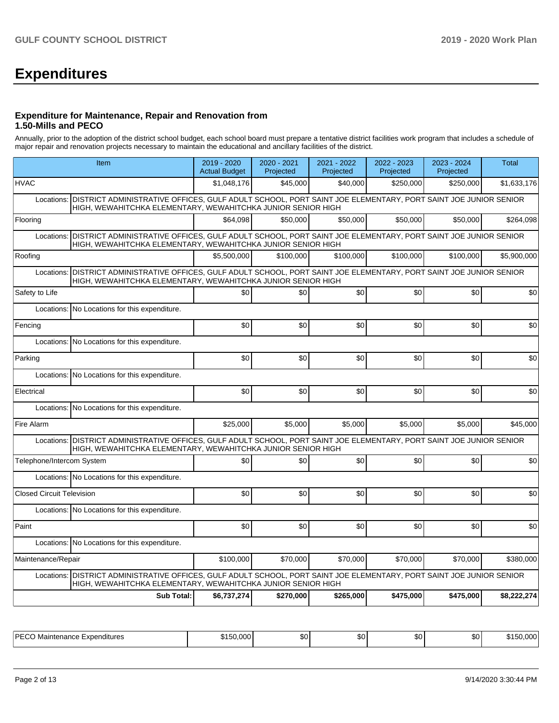# **Expenditures**

#### **Expenditure for Maintenance, Repair and Renovation from 1.50-Mills and PECO**

Annually, prior to the adoption of the district school budget, each school board must prepare a tentative district facilities work program that includes a schedule of major repair and renovation projects necessary to maintain the educational and ancillary facilities of the district.

| Item                                                                                                                                                                                      | $2019 - 2020$<br><b>Actual Budget</b> | 2020 - 2021<br>Projected | 2021 - 2022<br>Projected | 2022 - 2023<br>Projected | 2023 - 2024<br>Projected | <b>Total</b> |
|-------------------------------------------------------------------------------------------------------------------------------------------------------------------------------------------|---------------------------------------|--------------------------|--------------------------|--------------------------|--------------------------|--------------|
| <b>HVAC</b>                                                                                                                                                                               | \$1,048,176                           | \$45,000                 | \$40,000                 | \$250,000                | \$250,000                | \$1,633,176  |
| Locations: DISTRICT ADMINISTRATIVE OFFICES, GULF ADULT SCHOOL, PORT SAINT JOE ELEMENTARY, PORT SAINT JOE JUNIOR SENIOR<br>HIGH, WEWAHITCHKA ELEMENTARY, WEWAHITCHKA JUNIOR SENIOR HIGH    |                                       |                          |                          |                          |                          |              |
| Flooring                                                                                                                                                                                  | \$64,098                              | \$50,000                 | \$50,000                 | \$50,000                 | \$50,000                 | \$264,098    |
| DISTRICT ADMINISTRATIVE OFFICES, GULF ADULT SCHOOL, PORT SAINT JOE ELEMENTARY, PORT SAINT JOE JUNIOR SENIOR<br>Locations:<br>HIGH, WEWAHITCHKA ELEMENTARY, WEWAHITCHKA JUNIOR SENIOR HIGH |                                       |                          |                          |                          |                          |              |
| Roofing                                                                                                                                                                                   | \$5,500,000                           | \$100,000                | \$100,000                | \$100,000                | \$100,000                | \$5,900,000  |
| DISTRICT ADMINISTRATIVE OFFICES, GULF ADULT SCHOOL, PORT SAINT JOE ELEMENTARY, PORT SAINT JOE JUNIOR SENIOR<br>Locations:<br>HIGH, WEWAHITCHKA ELEMENTARY, WEWAHITCHKA JUNIOR SENIOR HIGH |                                       |                          |                          |                          |                          |              |
| Safety to Life                                                                                                                                                                            | \$0                                   | \$0                      | \$0                      | \$0                      | \$0                      | \$0          |
| No Locations for this expenditure.<br>Locations:                                                                                                                                          |                                       |                          |                          |                          |                          |              |
| Fencing                                                                                                                                                                                   | \$0                                   | \$0                      | \$0                      | \$0                      | \$0                      | \$0          |
| Locations: No Locations for this expenditure.                                                                                                                                             |                                       |                          |                          |                          |                          |              |
| Parking                                                                                                                                                                                   | \$0                                   | \$0                      | \$0                      | \$0                      | \$0                      | \$0          |
| Locations: No Locations for this expenditure.                                                                                                                                             |                                       |                          |                          |                          |                          |              |
| Electrical                                                                                                                                                                                | \$0                                   | \$0                      | \$0                      | \$0                      | \$0                      | \$0          |
| Locations: No Locations for this expenditure.                                                                                                                                             |                                       |                          |                          |                          |                          |              |
| Fire Alarm                                                                                                                                                                                | \$25,000                              | \$5,000                  | \$5,000                  | \$5,000                  | \$5,000                  | \$45,000     |
| Locations: DISTRICT ADMINISTRATIVE OFFICES, GULF ADULT SCHOOL, PORT SAINT JOE ELEMENTARY, PORT SAINT JOE JUNIOR SENIOR<br>HIGH, WEWAHITCHKA ELEMENTARY, WEWAHITCHKA JUNIOR SENIOR HIGH    |                                       |                          |                          |                          |                          |              |
| Telephone/Intercom System                                                                                                                                                                 | \$0                                   | \$0                      | \$0                      | \$0                      | \$0                      | \$0          |
| Locations: No Locations for this expenditure.                                                                                                                                             |                                       |                          |                          |                          |                          |              |
| <b>Closed Circuit Television</b>                                                                                                                                                          | \$0                                   | \$0                      | \$0                      | \$0                      | \$0                      | \$0          |
| Locations: No Locations for this expenditure.                                                                                                                                             |                                       |                          |                          |                          |                          |              |
| Paint                                                                                                                                                                                     | \$0                                   | \$0                      | \$0                      | \$0                      | \$0                      | \$0          |
| Locations: No Locations for this expenditure.                                                                                                                                             |                                       |                          |                          |                          |                          |              |
| Maintenance/Repair                                                                                                                                                                        | \$100,000                             | \$70,000                 | \$70,000                 | \$70,000                 | \$70,000                 | \$380,000    |
| Locations: DISTRICT ADMINISTRATIVE OFFICES, GULF ADULT SCHOOL, PORT SAINT JOE ELEMENTARY, PORT SAINT JOE JUNIOR SENIOR<br>HIGH, WEWAHITCHKA ELEMENTARY, WEWAHITCHKA JUNIOR SENIOR HIGH    |                                       |                          |                          |                          |                          |              |
| <b>Sub Total:</b>                                                                                                                                                                         | \$6,737,274                           | \$270,000                | \$265,000                | \$475,000                | \$475,000                | \$8,222,274  |

| IPF/<br>~<br>Expenditures<br>.∩tenar<br>noc<br>uvidi"<br>idilüə | $ -$ | $\sim$<br>w | $\sim$<br>w | $\mathcal{L}$<br>$\cdots$ | SO I | ، ה<br>. |
|-----------------------------------------------------------------|------|-------------|-------------|---------------------------|------|----------|
|-----------------------------------------------------------------|------|-------------|-------------|---------------------------|------|----------|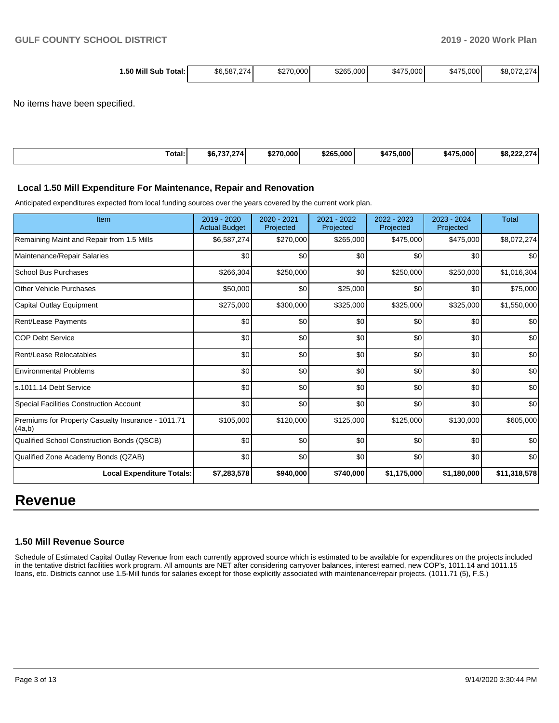| Mill<br>. .50<br>\$270,0001<br>\$6.587.274<br>Sub<br>Total:⊥<br>ا ∟پ | \$265,000<br>75.000<br>\$475 | \$8,072,274<br>\$475,000<br>74 |
|----------------------------------------------------------------------|------------------------------|--------------------------------|
|----------------------------------------------------------------------|------------------------------|--------------------------------|

No items have been specified.

| Total: | $- - - - -$<br>74<br>æп. | 0.000<br>のつつの<br>æ. | \$265<br>.000 | . 000<br>* 17F<br>. А. | トィラビ<br>'5.000 l<br>347 | $-$ |
|--------|--------------------------|---------------------|---------------|------------------------|-------------------------|-----|

#### **Local 1.50 Mill Expenditure For Maintenance, Repair and Renovation**

Anticipated expenditures expected from local funding sources over the years covered by the current work plan.

| Item                                                         | 2019 - 2020<br><b>Actual Budget</b> | $2020 - 2021$<br>Projected | 2021 - 2022<br>Projected | 2022 - 2023<br>Projected | 2023 - 2024<br>Projected | <b>Total</b> |
|--------------------------------------------------------------|-------------------------------------|----------------------------|--------------------------|--------------------------|--------------------------|--------------|
| Remaining Maint and Repair from 1.5 Mills                    | \$6,587,274                         | \$270,000                  | \$265,000                | \$475,000                | \$475,000                | \$8,072,274  |
| Maintenance/Repair Salaries                                  | \$0                                 | \$0                        | \$0                      | \$0                      | \$0                      | \$0          |
| <b>School Bus Purchases</b>                                  | \$266,304                           | \$250,000                  | \$0                      | \$250,000                | \$250,000                | \$1,016,304  |
| Other Vehicle Purchases                                      | \$50,000                            | \$0                        | \$25,000                 | \$0                      | \$0                      | \$75,000     |
| Capital Outlay Equipment                                     | \$275,000                           | \$300,000                  | \$325,000                | \$325,000                | \$325,000                | \$1,550,000  |
| Rent/Lease Payments                                          | \$0                                 | \$0                        | \$0                      | \$0                      | \$0                      | \$0          |
| <b>COP Debt Service</b>                                      | \$0                                 | \$0                        | \$0                      | \$0                      | \$0                      | \$0          |
| Rent/Lease Relocatables                                      | \$0                                 | \$0                        | \$0                      | \$0                      | \$0                      | \$0          |
| <b>Environmental Problems</b>                                | \$0                                 | \$0                        | \$0                      | \$0                      | \$0                      | \$0          |
| ls.1011.14 Debt Service                                      | \$0                                 | \$0                        | \$0                      | \$0                      | \$0                      | \$0          |
| Special Facilities Construction Account                      | \$0                                 | \$0                        | \$0                      | \$0                      | \$0                      | \$0          |
| Premiums for Property Casualty Insurance - 1011.71<br>(4a,b) | \$105,000                           | \$120,000                  | \$125,000                | \$125,000                | \$130,000                | \$605,000    |
| Qualified School Construction Bonds (QSCB)                   | \$0                                 | \$0                        | \$0                      | \$0                      | \$0                      | \$0          |
| Qualified Zone Academy Bonds (QZAB)                          | \$0                                 | \$0                        | \$0                      | \$0                      | \$0                      | \$0          |
| <b>Local Expenditure Totals:</b>                             | \$7,283,578                         | \$940,000                  | \$740,000                | \$1,175,000              | \$1,180,000              | \$11,318,578 |

## **Revenue**

#### **1.50 Mill Revenue Source**

Schedule of Estimated Capital Outlay Revenue from each currently approved source which is estimated to be available for expenditures on the projects included in the tentative district facilities work program. All amounts are NET after considering carryover balances, interest earned, new COP's, 1011.14 and 1011.15 loans, etc. Districts cannot use 1.5-Mill funds for salaries except for those explicitly associated with maintenance/repair projects. (1011.71 (5), F.S.)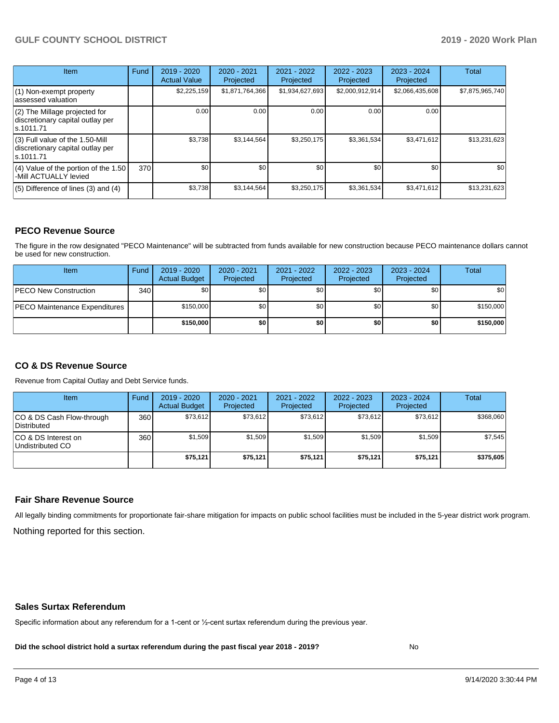#### **GULF COUNTY SCHOOL DISTRICT 2019 - 2020 Work Plan**

| Item                                                                                | Fund | $2019 - 2020$<br><b>Actual Value</b> | 2020 - 2021<br>Projected | 2021 - 2022<br>Projected | 2022 - 2023<br>Projected | $2023 - 2024$<br>Projected | <b>Total</b>    |
|-------------------------------------------------------------------------------------|------|--------------------------------------|--------------------------|--------------------------|--------------------------|----------------------------|-----------------|
| $(1)$ Non-exempt property<br>lassessed valuation                                    |      | \$2,225,159                          | \$1,871,764,366          | \$1,934,627,693          | \$2,000,912,914          | \$2,066,435,608            | \$7,875,965,740 |
| $(2)$ The Millage projected for<br>discretionary capital outlay per<br>ls.1011.71   |      | 0.00                                 | 0.00                     | 0.00                     | 0.00                     | 0.00                       |                 |
| $(3)$ Full value of the 1.50-Mill<br>discretionary capital outlay per<br>ls.1011.71 |      | \$3,738                              | \$3,144,564              | \$3,250,175              | \$3,361,534              | \$3,471,612                | \$13,231,623    |
| $(4)$ Value of the portion of the 1.50<br>-Mill ACTUALLY levied                     | 370  | \$0                                  | \$0                      | \$0                      | \$0                      | \$0                        | \$0             |
| $(5)$ Difference of lines $(3)$ and $(4)$                                           |      | \$3,738                              | \$3,144,564              | \$3,250,175              | \$3,361,534              | \$3,471,612                | \$13,231,623    |

#### **PECO Revenue Source**

The figure in the row designated "PECO Maintenance" will be subtracted from funds available for new construction because PECO maintenance dollars cannot be used for new construction.

| Item                                 | Fund             | $2019 - 2020$<br><b>Actual Budget</b> | $2020 - 2021$<br>Projected | 2021 - 2022<br>Projected | $2022 - 2023$<br>Projected | 2023 - 2024<br>Projected | Total       |
|--------------------------------------|------------------|---------------------------------------|----------------------------|--------------------------|----------------------------|--------------------------|-------------|
| <b>IPECO New Construction</b>        | 340 <sup>1</sup> | \$0                                   | \$0 <sub>1</sub>           | \$0                      | \$0                        | \$0                      | <b>\$01</b> |
| <b>PECO Maintenance Expenditures</b> |                  | \$150,000                             | \$0 <sub>1</sub>           | \$0                      | \$0                        | \$0 <sub>1</sub>         | \$150,000   |
|                                      |                  | \$150,000                             | \$0                        | \$0                      | \$0                        | \$0                      | \$150,000   |

#### **CO & DS Revenue Source**

Revenue from Capital Outlay and Debt Service funds.

| Item                                      | Fund | $2019 - 2020$<br><b>Actual Budget</b> | 2020 - 2021<br>Projected | 2021 - 2022<br>Projected | $2022 - 2023$<br>Projected | $2023 - 2024$<br>Projected | <b>Total</b> |
|-------------------------------------------|------|---------------------------------------|--------------------------|--------------------------|----------------------------|----------------------------|--------------|
| ICO & DS Cash Flow-through<br>Distributed | 360  | \$73.612                              | \$73.612                 | \$73.612                 | \$73.612                   | \$73.612                   | \$368,060    |
| ICO & DS Interest on<br>Undistributed CO  | 360  | \$1,509                               | \$1,509                  | \$1,509                  | \$1.509                    | \$1,509                    | \$7,545      |
|                                           |      | \$75,121                              | \$75.121                 | \$75.121                 | \$75.121                   | \$75,121                   | \$375,605    |

#### **Fair Share Revenue Source**

Nothing reported for this section. All legally binding commitments for proportionate fair-share mitigation for impacts on public school facilities must be included in the 5-year district work program.

#### **Sales Surtax Referendum**

Specific information about any referendum for a 1-cent or ½-cent surtax referendum during the previous year.

**Did the school district hold a surtax referendum during the past fiscal year 2018 - 2019?**

No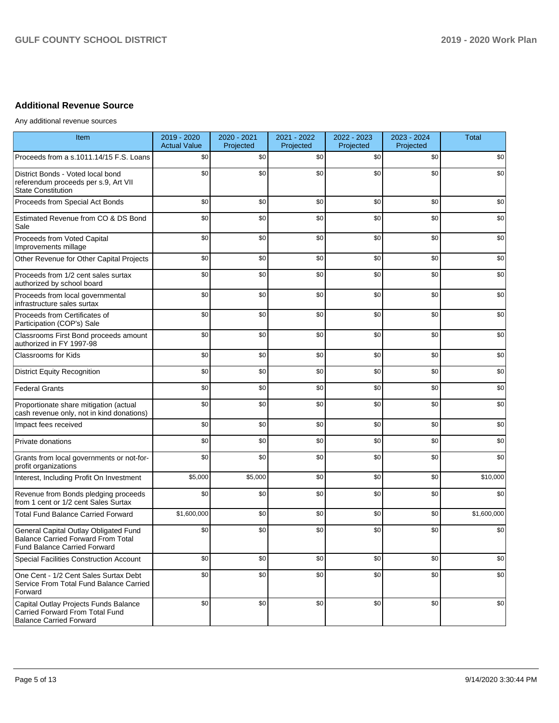### **Additional Revenue Source**

Any additional revenue sources

| Item                                                                                                                      | 2019 - 2020<br><b>Actual Value</b> | 2020 - 2021<br>Projected | 2021 - 2022<br>Projected | 2022 - 2023<br>Projected | 2023 - 2024<br>Projected | <b>Total</b> |
|---------------------------------------------------------------------------------------------------------------------------|------------------------------------|--------------------------|--------------------------|--------------------------|--------------------------|--------------|
| Proceeds from a s.1011.14/15 F.S. Loans                                                                                   | \$0                                | \$0                      | \$0                      | \$0                      | \$0                      | \$0          |
| District Bonds - Voted local bond<br>referendum proceeds per s.9, Art VII<br><b>State Constitution</b>                    | \$0                                | \$0                      | \$0                      | \$0                      | \$0                      | \$0          |
| Proceeds from Special Act Bonds                                                                                           | \$0                                | \$0                      | \$0                      | \$0                      | \$0                      | \$0          |
| Estimated Revenue from CO & DS Bond<br>Sale                                                                               | \$0                                | \$0                      | \$0                      | \$0                      | \$0                      | \$0          |
| Proceeds from Voted Capital<br>Improvements millage                                                                       | \$0                                | \$0                      | \$0                      | \$0                      | \$0                      | \$0          |
| Other Revenue for Other Capital Projects                                                                                  | \$0                                | \$0                      | \$0                      | \$0                      | \$0                      | \$0          |
| Proceeds from 1/2 cent sales surtax<br>authorized by school board                                                         | \$0                                | \$0                      | \$0                      | \$0                      | \$0                      | \$0          |
| Proceeds from local governmental<br>infrastructure sales surtax                                                           | \$0                                | \$0                      | \$0                      | \$0                      | \$0                      | \$0          |
| Proceeds from Certificates of<br>Participation (COP's) Sale                                                               | \$0                                | \$0                      | \$0                      | \$0                      | \$0                      | \$0          |
| Classrooms First Bond proceeds amount<br>authorized in FY 1997-98                                                         | \$0                                | \$0                      | \$0                      | \$0                      | \$0                      | \$0          |
| Classrooms for Kids                                                                                                       | \$0                                | \$0                      | \$0                      | \$0                      | \$0                      | \$0          |
| <b>District Equity Recognition</b>                                                                                        | \$0                                | \$0                      | \$0                      | \$0                      | \$0                      | \$0          |
| <b>Federal Grants</b>                                                                                                     | \$0                                | \$0                      | \$0                      | \$0                      | \$0                      | \$0          |
| Proportionate share mitigation (actual<br>cash revenue only, not in kind donations)                                       | \$0                                | \$0                      | \$0                      | \$0                      | \$0                      | \$0          |
| Impact fees received                                                                                                      | \$0                                | \$0                      | \$0                      | \$0                      | \$0                      | \$0          |
| Private donations                                                                                                         | \$0                                | \$0                      | \$0                      | \$0                      | \$0                      | \$0          |
| Grants from local governments or not-for-<br>profit organizations                                                         | \$0                                | \$0                      | \$0                      | \$0                      | \$0                      | \$0          |
| Interest, Including Profit On Investment                                                                                  | \$5,000                            | \$5,000                  | \$0                      | \$0                      | \$0                      | \$10,000     |
| Revenue from Bonds pledging proceeds<br>from 1 cent or 1/2 cent Sales Surtax                                              | \$0                                | \$0                      | \$0                      | \$0                      | \$0                      | \$0          |
| <b>Total Fund Balance Carried Forward</b>                                                                                 | \$1,600,000                        | \$0                      | \$0                      | \$0                      | \$0                      | \$1,600,000  |
| General Capital Outlay Obligated Fund<br><b>Balance Carried Forward From Total</b><br><b>Fund Balance Carried Forward</b> | \$0                                | \$0                      | \$0                      | \$0                      | \$0                      | \$0          |
| Special Facilities Construction Account                                                                                   | \$0                                | \$0                      | \$0                      | \$0                      | \$0                      | \$0          |
| One Cent - 1/2 Cent Sales Surtax Debt<br>Service From Total Fund Balance Carried<br>Forward                               | \$0                                | \$0                      | \$0                      | \$0                      | \$0                      | \$0          |
| Capital Outlay Projects Funds Balance<br>Carried Forward From Total Fund<br><b>Balance Carried Forward</b>                | \$0                                | \$0                      | \$0                      | \$0                      | \$0                      | \$0          |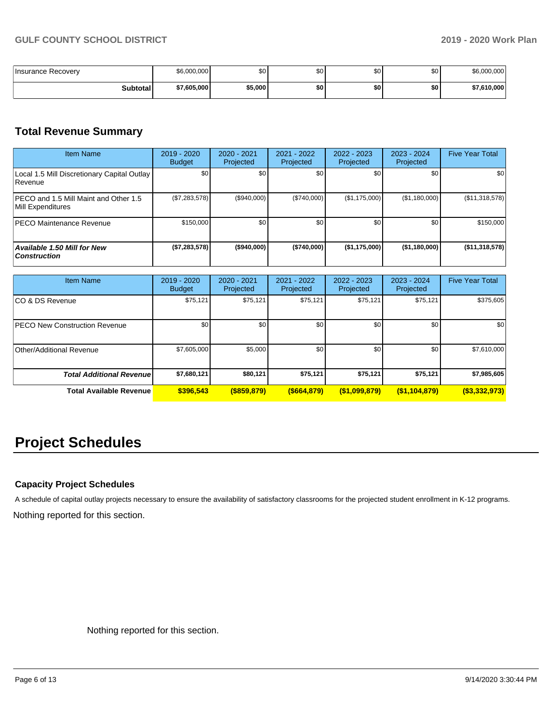| Insurance Recoverv | \$6,000,000 | \$0     | œ۵<br>ູບບ | \$0 | ¢∩<br>w | \$6,000,000 |
|--------------------|-------------|---------|-----------|-----|---------|-------------|
| <b>Subtotal</b>    | \$7.605.000 | \$5,000 | \$0       | \$0 | \$0     | \$7.610.000 |

## **Total Revenue Summary**

| <b>Item Name</b>                                           | 2019 - 2020<br><b>Budget</b> | 2020 - 2021<br>Projected | 2021 - 2022<br>Projected | 2022 - 2023<br>Projected | 2023 - 2024<br>Projected | <b>Five Year Total</b> |
|------------------------------------------------------------|------------------------------|--------------------------|--------------------------|--------------------------|--------------------------|------------------------|
| Local 1.5 Mill Discretionary Capital Outlay<br>l Revenue   | \$0                          | \$0                      | \$0                      | \$0                      | \$0                      | \$0                    |
| PECO and 1.5 Mill Maint and Other 1.5<br>Mill Expenditures | (\$7,283,578)                | (\$940,000)              | (\$740,000)              | (\$1,175,000)            | (\$1,180,000)            | (\$11,318,578)         |
| <b>PECO Maintenance Revenue</b>                            | \$150,000                    | \$0                      | \$0                      | \$0                      | \$0                      | \$150,000              |
| <b>Available 1.50 Mill for New</b><br><b>Construction</b>  | (\$7,283,578)                | $($ \$940,000)           | (\$740,000)              | (\$1,175,000)            | (\$1,180,000)            | (\$11,318,578)         |

| <b>Item Name</b>                     | 2019 - 2020<br><b>Budget</b> | $2020 - 2021$<br>Projected | $2021 - 2022$<br>Projected | $2022 - 2023$<br>Projected | 2023 - 2024<br>Projected | <b>Five Year Total</b> |
|--------------------------------------|------------------------------|----------------------------|----------------------------|----------------------------|--------------------------|------------------------|
| ICO & DS Revenue                     | \$75,121                     | \$75,121                   | \$75,121                   | \$75,121                   | \$75,121                 | \$375,605              |
| <b>PECO New Construction Revenue</b> | \$0                          | \$0                        | \$0                        | \$0                        | \$0                      | \$0                    |
| Other/Additional Revenue             | \$7,605,000                  | \$5,000                    | \$0                        | \$0                        | \$0                      | \$7,610,000            |
| <b>Total Additional Revenue</b>      | \$7,680,121                  | \$80,121                   | \$75,121                   | \$75,121                   | \$75,121                 | \$7,985,605            |
| <b>Total Available Revenue</b>       | \$396,543                    | $($ \$859,879)             | ( \$664, 879)              | (\$1,099,879)              | $($ \$1,104,879)         | ( \$3,332,973)         |

# **Project Schedules**

#### **Capacity Project Schedules**

Nothing reported for this section. A schedule of capital outlay projects necessary to ensure the availability of satisfactory classrooms for the projected student enrollment in K-12 programs.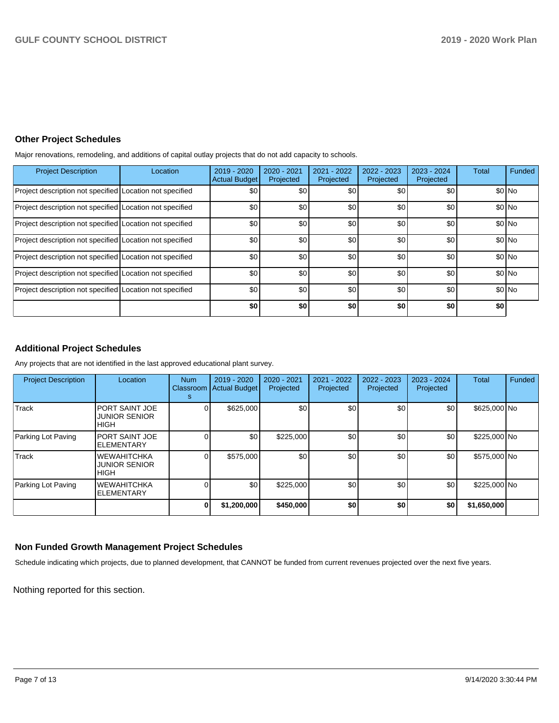#### **Other Project Schedules**

Major renovations, remodeling, and additions of capital outlay projects that do not add capacity to schools.

| <b>Project Description</b>                               | Location | 2019 - 2020<br><b>Actual Budget</b> | 2020 - 2021<br>Projected | 2021 - 2022<br>Projected | 2022 - 2023<br>Projected | $2023 - 2024$<br>Projected | <b>Total</b> | Funded  |
|----------------------------------------------------------|----------|-------------------------------------|--------------------------|--------------------------|--------------------------|----------------------------|--------------|---------|
| Project description not specified Location not specified |          | \$0                                 | \$0                      | \$0                      | \$0                      | \$0                        |              | \$0 No  |
| Project description not specified Location not specified |          | \$0                                 | \$0                      | \$0                      | \$0                      | \$0                        |              | \$0 No  |
| Project description not specified Location not specified |          | \$0                                 | \$0                      | \$0                      | \$0                      | \$0                        |              | \$0 No  |
| Project description not specified Location not specified |          | \$0                                 | \$0                      | \$0                      | \$0                      | \$0                        |              | \$0 No  |
| Project description not specified Location not specified |          | \$0                                 | \$0                      | \$0                      | \$0                      | \$0                        |              | \$0 No  |
| Project description not specified Location not specified |          | \$0                                 | \$0                      | \$0                      | \$0                      | \$0                        |              | $$0$ No |
| Project description not specified Location not specified |          | \$0                                 | \$0                      | \$0                      | \$0                      | \$0                        |              | \$0 No  |
|                                                          |          | \$0                                 | \$0                      | \$0                      | \$0                      | \$0                        | \$0          |         |

#### **Additional Project Schedules**

Any projects that are not identified in the last approved educational plant survey.

| <b>Project Description</b> | Location                                               | <b>Num</b><br>Classroom<br>s | 2019 - 2020<br><b>Actual Budget</b> | 2020 - 2021<br>Projected | 2021 - 2022<br>Projected | 2022 - 2023<br>Projected | 2023 - 2024<br>Projected | <b>Total</b> | Funded |
|----------------------------|--------------------------------------------------------|------------------------------|-------------------------------------|--------------------------|--------------------------|--------------------------|--------------------------|--------------|--------|
| Track                      | <b>PORT SAINT JOE</b><br><b>JUNIOR SENIOR</b><br>IHIGH |                              | \$625,000                           | \$0                      | \$0                      | \$0                      | \$0                      | \$625,000 No |        |
| Parking Lot Paving         | <b>PORT SAINT JOE</b><br><b>ELEMENTARY</b>             |                              | \$0                                 | \$225,000                | \$0                      | \$0                      | \$0                      | \$225,000 No |        |
| Track                      | <b>WEWAHITCHKA</b><br><b>JUNIOR SENIOR</b><br>IHIGH    |                              | \$575,000                           | \$0                      | \$0                      | \$0                      | \$0                      | \$575,000 No |        |
| Parking Lot Paving         | <b>WEWAHITCHKA</b><br><b>ELEMENTARY</b>                |                              | \$0                                 | \$225,000                | \$0                      | \$0                      | \$0                      | \$225,000 No |        |
|                            |                                                        |                              | \$1,200,000                         | \$450,000                | \$0                      | \$0                      | \$0                      | \$1,650,000  |        |

#### **Non Funded Growth Management Project Schedules**

Schedule indicating which projects, due to planned development, that CANNOT be funded from current revenues projected over the next five years.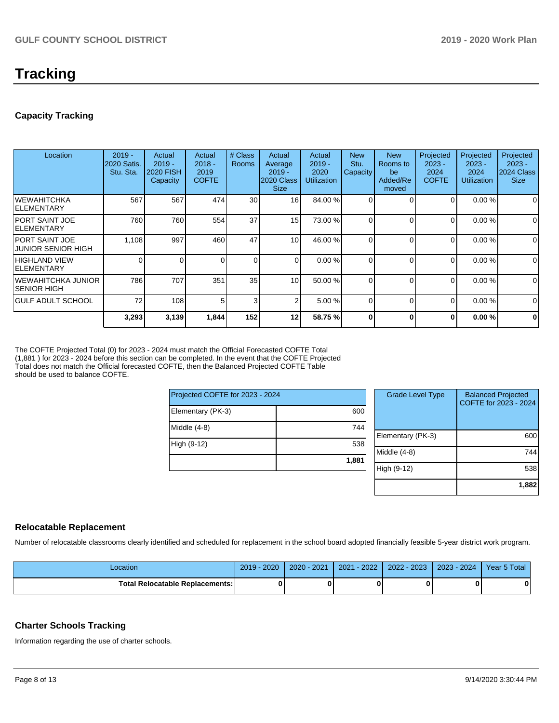# **Tracking**

#### **Capacity Tracking**

| Location                                     | $2019 -$<br><b>2020 Satis.</b><br>Stu. Sta. | Actual<br>$2019 -$<br><b>2020 FISH</b><br>Capacity | Actual<br>$2018 -$<br>2019<br><b>COFTE</b> | # Class<br><b>Rooms</b> | Actual<br>Average<br>$2019 -$<br>2020 Class<br><b>Size</b> | Actual<br>$2019 -$<br>2020<br><b>Utilization</b> | <b>New</b><br>Stu.<br>Capacity | <b>New</b><br>Rooms to<br>be<br>Added/Re<br>moved | Projected<br>$2023 -$<br>2024<br><b>COFTE</b> | Projected<br>$2023 -$<br>2024<br>Utilization | Projected<br>$2023 -$<br>2024 Class<br><b>Size</b> |
|----------------------------------------------|---------------------------------------------|----------------------------------------------------|--------------------------------------------|-------------------------|------------------------------------------------------------|--------------------------------------------------|--------------------------------|---------------------------------------------------|-----------------------------------------------|----------------------------------------------|----------------------------------------------------|
| IWEWAHITCHKA<br>IELEMENTARY                  | 567                                         | 567                                                | 474                                        | 30                      | 16 <sup>1</sup>                                            | 84.00 %                                          |                                | $\Omega$                                          | $\Omega$                                      | 0.00%                                        | 0                                                  |
| IPORT SAINT JOE<br><b>IELEMENTARY</b>        | 760                                         | 760                                                | 554                                        | 37                      | 15 <sup>1</sup>                                            | 73.00 %                                          |                                | $\Omega$                                          | $\overline{0}$                                | 0.00%                                        | $\mathbf 0$                                        |
| IPORT SAINT JOE<br><b>JUNIOR SENIOR HIGH</b> | 1,108                                       | 997                                                | 460                                        | 47                      | 10                                                         | 46.00 %                                          |                                | $\Omega$                                          | 0                                             | 0.00%                                        | 0                                                  |
| <b>HIGHLAND VIEW</b><br>ELEMENTARY           |                                             |                                                    |                                            | $\Omega$                | $\Omega$                                                   | 0.00%                                            |                                | $\Omega$                                          | $\Omega$                                      | 0.00%                                        | $\mathbf 0$                                        |
| IWEWAHITCHKA JUNIOR<br>ISENIOR HIGH          | 786                                         | 707                                                | 351                                        | 35                      | 10                                                         | 50.00 %                                          |                                | $\Omega$                                          | 0                                             | 0.00%                                        | $\mathbf 0$                                        |
| <b>IGULF ADULT SCHOOL</b>                    | 72                                          | 108                                                | 5.                                         | 3                       | 2                                                          | 5.00 %                                           |                                | $\Omega$                                          | 0                                             | 0.00%                                        | $\Omega$                                           |
|                                              | 3,293                                       | 3,139                                              | 1,844                                      | 152                     | 12                                                         | 58.75 %                                          |                                | O                                                 | 0                                             | 0.00%                                        | $\mathbf 0$                                        |

The COFTE Projected Total (0) for 2023 - 2024 must match the Official Forecasted COFTE Total (1,881 ) for 2023 - 2024 before this section can be completed. In the event that the COFTE Projected Total does not match the Official forecasted COFTE, then the Balanced Projected COFTE Table should be used to balance COFTE.

| Projected COFTE for 2023 - 2024 |       |  |  |  |  |
|---------------------------------|-------|--|--|--|--|
| Elementary (PK-3)               | 600   |  |  |  |  |
| Middle $(4-8)$                  | 744   |  |  |  |  |
| High (9-12)                     | 538   |  |  |  |  |
|                                 | 1,881 |  |  |  |  |

| <b>Grade Level Type</b> | <b>Balanced Projected</b><br>COFTE for 2023 - 2024 |
|-------------------------|----------------------------------------------------|
| Elementary (PK-3)       | 600                                                |
| Middle $(4-8)$          | 744                                                |
| High (9-12)             | 538                                                |
|                         | 1,882                                              |

#### **Relocatable Replacement**

Number of relocatable classrooms clearly identified and scheduled for replacement in the school board adopted financially feasible 5-year district work program.

| Location                                 | 2019 - 2020 | $2020 - 2021$ | 2021 - 2022 | 2022 - 2023 | $2023 - 2024$ | Year 5 Total |
|------------------------------------------|-------------|---------------|-------------|-------------|---------------|--------------|
| <b>Total Relocatable Replacements: I</b> |             |               |             |             |               | Λ            |

#### **Charter Schools Tracking**

Information regarding the use of charter schools.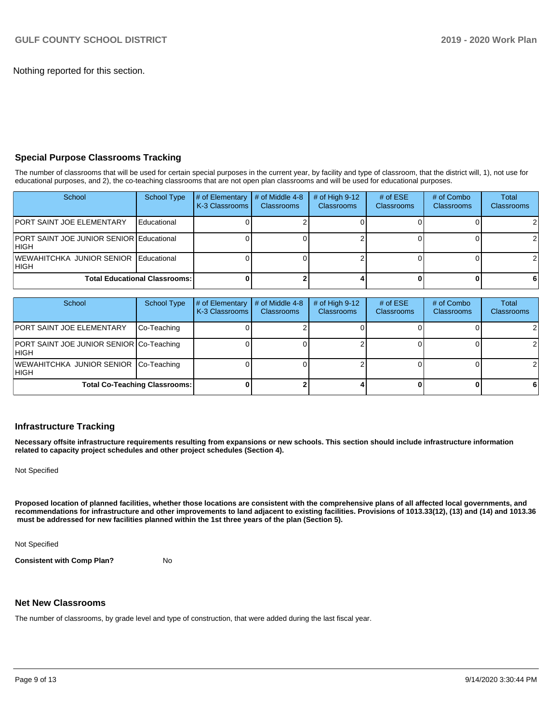Nothing reported for this section.

#### **Special Purpose Classrooms Tracking**

The number of classrooms that will be used for certain special purposes in the current year, by facility and type of classroom, that the district will, 1), not use for educational purposes, and 2), the co-teaching classrooms that are not open plan classrooms and will be used for educational purposes.

| School                                            | <b>School Type</b> | # of Elementary<br>K-3 Classrooms | $\#$ of Middle 4-8<br><b>Classrooms</b> | # of High $9-12$<br><b>Classrooms</b> | # of $ESE$<br><b>Classrooms</b> | # of Combo<br><b>Classrooms</b> | Total<br><b>Classrooms</b> |
|---------------------------------------------------|--------------------|-----------------------------------|-----------------------------------------|---------------------------------------|---------------------------------|---------------------------------|----------------------------|
| <b>PORT SAINT JOE ELEMENTARY</b>                  | Educational        |                                   |                                         |                                       |                                 |                                 | 21                         |
| PORT SAINT JOE JUNIOR SENIOR Educational<br>IHIGH |                    |                                   |                                         |                                       |                                 |                                 | 21                         |
| WEWAHITCHKA JUNIOR SENIOR Educational<br>IHIGH    |                    |                                   |                                         |                                       |                                 |                                 | 21                         |
| <b>Total Educational Classrooms:</b>              |                    |                                   |                                         |                                       |                                 |                                 | 61                         |

| School                                                    | <b>School Type</b>                   | # of Elementary<br>K-3 Classrooms | # of Middle 4-8<br><b>Classrooms</b> | # of High $9-12$<br><b>Classrooms</b> | # of $ESE$<br>Classrooms | # of Combo<br><b>Classrooms</b> | Total<br><b>Classrooms</b> |
|-----------------------------------------------------------|--------------------------------------|-----------------------------------|--------------------------------------|---------------------------------------|--------------------------|---------------------------------|----------------------------|
| <b>PORT SAINT JOE ELEMENTARY</b>                          | Co-Teaching                          |                                   |                                      |                                       |                          |                                 |                            |
| <b>PORT SAINT JOE JUNIOR SENIOR Co-Teaching</b><br>IHIGH. |                                      |                                   |                                      |                                       |                          |                                 | 21                         |
| WEWAHITCHKA JUNIOR SENIOR Co-Teaching<br>IHIGH.           |                                      |                                   |                                      |                                       |                          |                                 | 21                         |
|                                                           | <b>Total Co-Teaching Classrooms:</b> |                                   |                                      |                                       |                          |                                 | 61                         |

#### **Infrastructure Tracking**

**Necessary offsite infrastructure requirements resulting from expansions or new schools. This section should include infrastructure information related to capacity project schedules and other project schedules (Section 4).** 

Not Specified

**Proposed location of planned facilities, whether those locations are consistent with the comprehensive plans of all affected local governments, and recommendations for infrastructure and other improvements to land adjacent to existing facilities. Provisions of 1013.33(12), (13) and (14) and 1013.36 must be addressed for new facilities planned within the 1st three years of the plan (Section 5).** 

Not Specified

**Consistent with Comp Plan?** No

#### **Net New Classrooms**

The number of classrooms, by grade level and type of construction, that were added during the last fiscal year.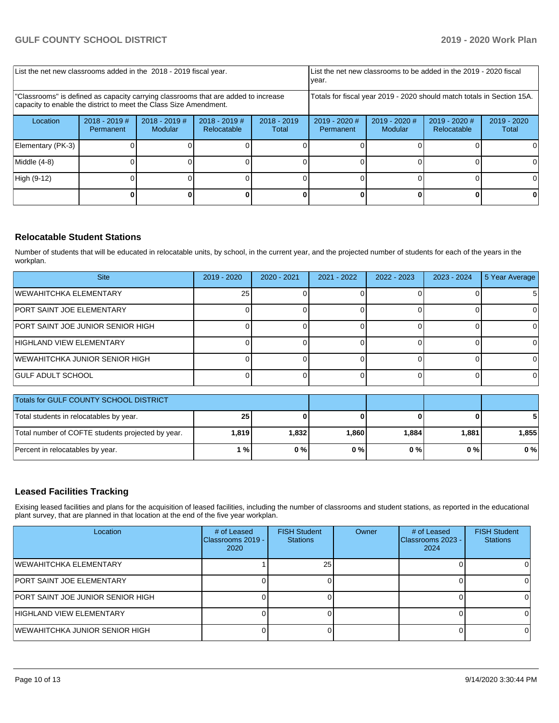| List the net new classrooms added in the 2018 - 2019 fiscal year.                                                                                       |                              |                            |                              |                        | List the net new classrooms to be added in the 2019 - 2020 fiscal<br>year. |                            |                                |                      |
|---------------------------------------------------------------------------------------------------------------------------------------------------------|------------------------------|----------------------------|------------------------------|------------------------|----------------------------------------------------------------------------|----------------------------|--------------------------------|----------------------|
| "Classrooms" is defined as capacity carrying classrooms that are added to increase<br>capacity to enable the district to meet the Class Size Amendment. |                              |                            |                              |                        | Totals for fiscal year 2019 - 2020 should match totals in Section 15A.     |                            |                                |                      |
| Location                                                                                                                                                | $2018 - 2019$ #<br>Permanent | $2018 - 2019$ #<br>Modular | 2018 - 2019 #<br>Relocatable | $2018 - 2019$<br>Total | $2019 - 2020$ #<br>Permanent                                               | $2019 - 2020$ #<br>Modular | $2019 - 2020$ #<br>Relocatable | 2019 - 2020<br>Total |
| Elementary (PK-3)                                                                                                                                       |                              |                            |                              |                        |                                                                            |                            |                                |                      |
| Middle $(4-8)$                                                                                                                                          |                              |                            |                              |                        |                                                                            |                            |                                |                      |
| High (9-12)                                                                                                                                             |                              |                            |                              |                        |                                                                            |                            |                                | 0                    |
|                                                                                                                                                         |                              |                            |                              |                        |                                                                            |                            |                                |                      |

#### **Relocatable Student Stations**

Number of students that will be educated in relocatable units, by school, in the current year, and the projected number of students for each of the years in the workplan.

| <b>Site</b>                       | $2019 - 2020$ | $2020 - 2021$ | 2021 - 2022 | 2022 - 2023 | 2023 - 2024 | 5 Year Average |
|-----------------------------------|---------------|---------------|-------------|-------------|-------------|----------------|
| <b>WEWAHITCHKA ELEMENTARY</b>     | 25            |               |             |             |             | $5 \mid$       |
| <b>PORT SAINT JOE ELEMENTARY</b>  |               |               |             |             |             |                |
| PORT SAINT JOE JUNIOR SENIOR HIGH |               |               |             |             |             |                |
| HIGHLAND VIEW ELEMENTARY          |               |               |             |             |             |                |
| WEWAHITCHKA JUNIOR SENIOR HIGH    |               |               |             |             |             |                |
| <b>IGULF ADULT SCHOOL</b>         |               |               |             |             |             | ΩI             |

| Totals for GULF COUNTY SCHOOL DISTRICT            |       |       |       |       |       |          |
|---------------------------------------------------|-------|-------|-------|-------|-------|----------|
| Total students in relocatables by year.           | 25    |       |       |       |       |          |
| Total number of COFTE students projected by year. | 1,819 | 1.832 | 1.860 | 1.884 | 1.881 | ا 855. ا |
| Percent in relocatables by year.                  | 1 % I | $0\%$ | $0\%$ | 0%    | 0 % I | 0%       |

#### **Leased Facilities Tracking**

Exising leased facilities and plans for the acquisition of leased facilities, including the number of classrooms and student stations, as reported in the educational plant survey, that are planned in that location at the end of the five year workplan.

| Location                          | # of Leased<br>Classrooms 2019 -<br>2020 | <b>FISH Student</b><br><b>Stations</b> | Owner | # of Leased<br>Classrooms 2023 -<br>2024 | <b>FISH Student</b><br><b>Stations</b> |
|-----------------------------------|------------------------------------------|----------------------------------------|-------|------------------------------------------|----------------------------------------|
| IWEWAHITCHKA ELEMENTARY           |                                          | 25 <sub>1</sub>                        |       |                                          |                                        |
| <b>PORT SAINT JOE ELEMENTARY</b>  |                                          |                                        |       |                                          |                                        |
| PORT SAINT JOE JUNIOR SENIOR HIGH |                                          |                                        |       |                                          |                                        |
| HIGHLAND VIEW ELEMENTARY          |                                          |                                        |       |                                          |                                        |
| IWEWAHITCHKA JUNIOR SENIOR HIGH   |                                          |                                        |       |                                          |                                        |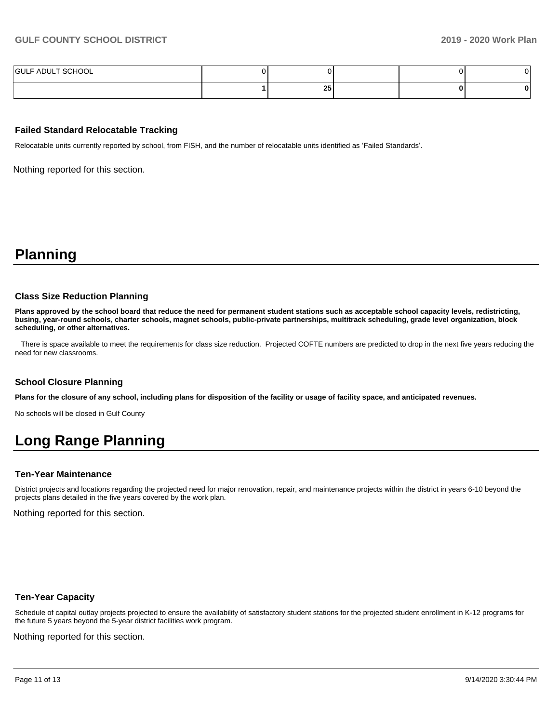| F ADULT SCHOOL<br><b>GULF</b> |           |  |  |
|-------------------------------|-----------|--|--|
|                               | 0E<br>-43 |  |  |

#### **Failed Standard Relocatable Tracking**

Relocatable units currently reported by school, from FISH, and the number of relocatable units identified as 'Failed Standards'.

Nothing reported for this section.

## **Planning**

#### **Class Size Reduction Planning**

**Plans approved by the school board that reduce the need for permanent student stations such as acceptable school capacity levels, redistricting, busing, year-round schools, charter schools, magnet schools, public-private partnerships, multitrack scheduling, grade level organization, block scheduling, or other alternatives.**

 There is space available to meet the requirements for class size reduction. Projected COFTE numbers are predicted to drop in the next five years reducing the need for new classrooms.

#### **School Closure Planning**

**Plans for the closure of any school, including plans for disposition of the facility or usage of facility space, and anticipated revenues.** 

No schools will be closed in Gulf County

# **Long Range Planning**

#### **Ten-Year Maintenance**

District projects and locations regarding the projected need for major renovation, repair, and maintenance projects within the district in years 6-10 beyond the projects plans detailed in the five years covered by the work plan.

Nothing reported for this section.

#### **Ten-Year Capacity**

Schedule of capital outlay projects projected to ensure the availability of satisfactory student stations for the projected student enrollment in K-12 programs for the future 5 years beyond the 5-year district facilities work program.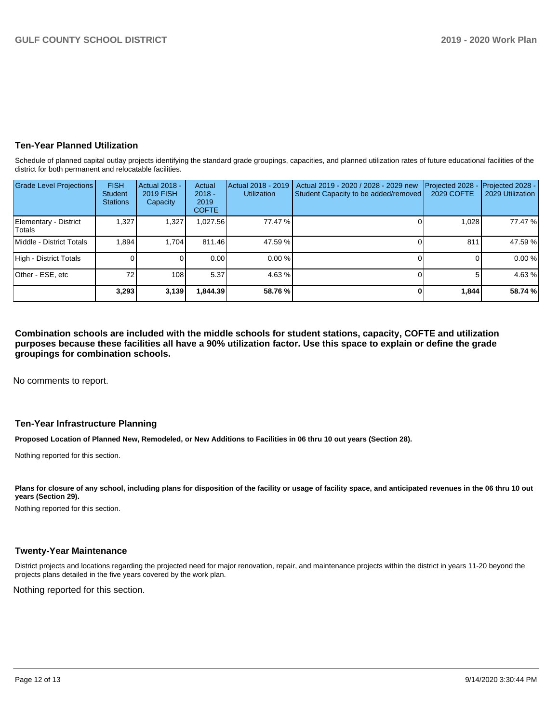### **Ten-Year Planned Utilization**

Schedule of planned capital outlay projects identifying the standard grade groupings, capacities, and planned utilization rates of future educational facilities of the district for both permanent and relocatable facilities.

| <b>Grade Level Projections</b>   | <b>FISH</b><br>Student<br><b>Stations</b> | Actual 2018 -<br><b>2019 FISH</b><br>Capacity | Actual<br>$2018 -$<br>2019<br><b>COFTE</b> | Actual 2018 - 2019<br><b>Utilization</b> | Actual 2019 - 2020 / 2028 - 2029 new<br>Student Capacity to be added/removed | Projected 2028<br><b>2029 COFTE</b> | Projected 2028 -<br>2029 Utilization |
|----------------------------------|-------------------------------------------|-----------------------------------------------|--------------------------------------------|------------------------------------------|------------------------------------------------------------------------------|-------------------------------------|--------------------------------------|
| Elementary - District<br>lTotals | 1,327                                     | 1,327                                         | 1,027.56                                   | 77.47 %                                  |                                                                              | 1.028                               | 77.47 %                              |
| Middle - District Totals         | 1.894                                     | 1.704                                         | 811.46                                     | 47.59 %                                  |                                                                              | 811                                 | 47.59 %                              |
| High - District Totals           |                                           |                                               | 0.00                                       | $0.00\%$                                 |                                                                              |                                     | 0.00%                                |
| Other - ESE, etc                 | 72                                        | 108 <sup>1</sup>                              | 5.37                                       | 4.63%                                    |                                                                              | 51                                  | 4.63 %                               |
|                                  | 3,293                                     | 3,139                                         | 1.844.39                                   | 58.76 %                                  |                                                                              | 1,844                               | 58.74 %                              |

**Combination schools are included with the middle schools for student stations, capacity, COFTE and utilization purposes because these facilities all have a 90% utilization factor. Use this space to explain or define the grade groupings for combination schools.** 

No comments to report.

#### **Ten-Year Infrastructure Planning**

**Proposed Location of Planned New, Remodeled, or New Additions to Facilities in 06 thru 10 out years (Section 28).**

Nothing reported for this section.

Plans for closure of any school, including plans for disposition of the facility or usage of facility space, and anticipated revenues in the 06 thru 10 out **years (Section 29).**

Nothing reported for this section.

#### **Twenty-Year Maintenance**

District projects and locations regarding the projected need for major renovation, repair, and maintenance projects within the district in years 11-20 beyond the projects plans detailed in the five years covered by the work plan.